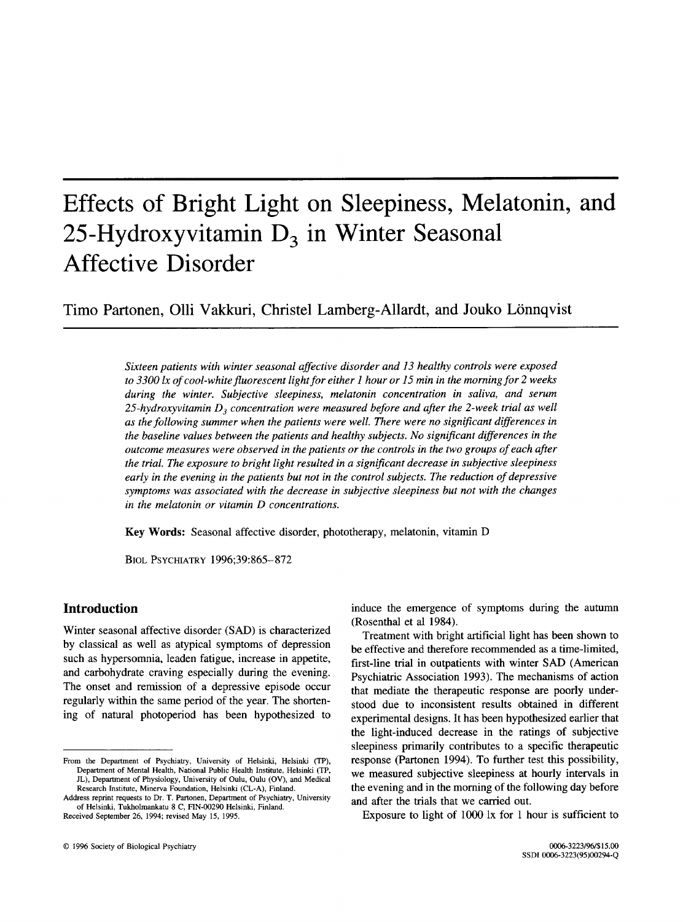# **Effects of Bright Light on Sleepiness, Melatonin, and**  25-Hydroxyvitamin D<sub>3</sub> in Winter Seasonal **Affective Disorder**

**Timo Partonen, Olli Vakkuri, Christel Lamberg-Allardt, and Jouko L6nnqvist** 

*Sixteen patients with winter seasonal affective disorder and 13 healthy controls were exposed to 3300 lx of cool-white fluorescent light for either 1 hour or 15 min in the morning for 2 weeks during the winter. Subjective sleepiness, melatonin concentration in saliva, and serum*  25-hydroxyvitamin  $D_3$  concentration were measured before and after the 2-week trial as well *as the following summer when the patients were well. There were no significant differences in the baseline values between the patients and healthy subjects. No significant differences in the outcome measures were observed in the patients or the controls in the two groups of each after the trial. The exposure to bright light resulted in a significant decrease in subjective sleepiness early in the evening in the patients but not in the control subjects. The reduction of depressive symptoms was associated with the decrease in subjective sleepiness but not with the changes in the melatonin or vitamin D concentrations.* 

Key Words: Seasonal affective disorder, phototherapy, melatonin, vitamin D

BIOL PSYCHIATRY 1996;39:865-872

# **Introduction**

Winter seasonal affective disorder (SAD) is characterized by classical as well as atypical symptoms of depression such as hypersomnia, leaden fatigue, increase in appetite, and carbohydrate craving especially during the evening. The onset and remission of a depressive episode occur regularly within the same period of the year. The shortening of natural photoperiod has been hypothesized to induce the emergence of symptoms during the autumn (Rosenthal et al 1984).

Treatment with bright artificial light has been shown to be effective and therefore recommended as a time-limited, first-line trial in outpatients with winter SAD (American Psychiatric Association 1993). The mechanisms of action that mediate the therapeutic response are poorly understood due to inconsistent results obtained in different experimental designs. It has been hypothesized earlier that the light-induced decrease in the ratings of subjective sleepiness primarily contributes to a specific therapeutic response (Partonen 1994). To further test this possibility, we measured subjective sleepiness at hourly intervals in the evening and in the morning of the following day before and after the trials that we carried out.

Exposure to light of 1000 lx for 1 hour is sufficient to

From the Department of Psychiatry, University of Helsinki, Helsinki (TP), Department of Mental Health, National Public Health Institute, Helsinki (TP, JL), Department of Physiology, University of Oulu, Oulu (OV), and Medical Research Institute, Minerva Foundation, Helsinki (CL-A), Finland.

Address reprint requests to Dr. T. Partonen, Department of Psychiatry, University of Helsinki, Tukholmankatu 8 C, FIN-00290 Helsinki, Finland. Received September 26, 1994; revised May 15, 1995.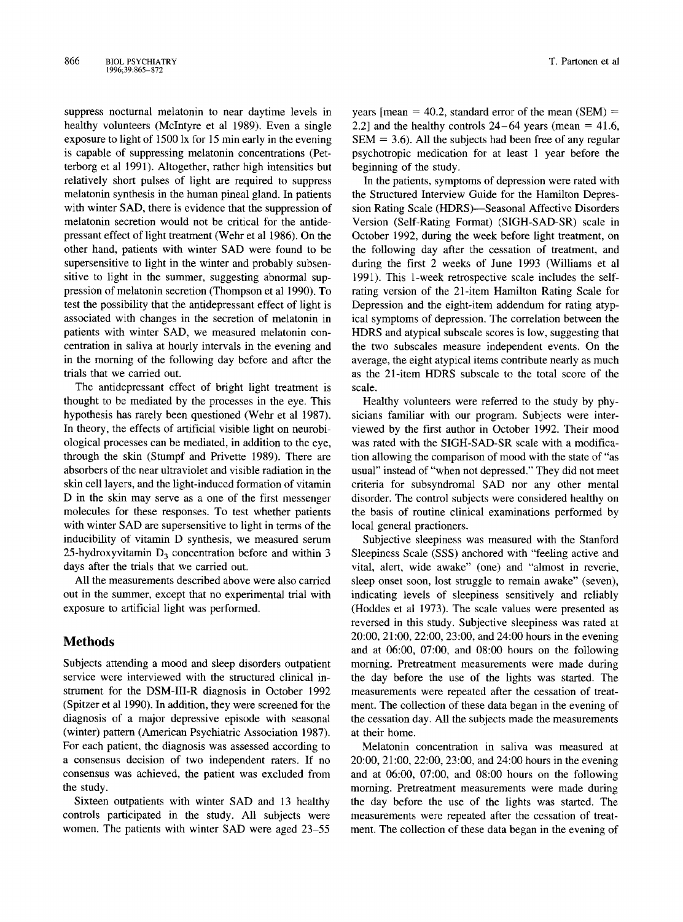suppress nocturnal melatonin to near daytime levels in healthy volunteers (McIntyre et al 1989). Even a single exposure to light of 1500 lx for 15 min early in the evening is capable of suppressing melatonin concentrations (Petterborg et al 1991). Altogether, rather high intensities but relatively short pulses of light are required to suppress melatonin synthesis in the human pineal gland. In patients with winter SAD, there is evidence that the suppression of melatonin secretion would not be critical for the antidepressant effect of light treatment (Wehr et al 1986). On the other hand, patients with winter SAD were found to be supersensitive to light in the winter and probably subsensitive to light in the summer, suggesting abnormal suppression of melatonin secretion (Thompson et al 1990). To test the possibility that the antidepressant effect of light is associated with changes in the secretion of melatonin in patients with winter SAD, we measured melatonin concentration in saliva at hourly intervals in the evening and in the morning of the following day before and after the trials that we carried out.

The antidepressant effect of bright light treatment is thought to be mediated by the processes in the eye. This hypothesis has rarely been questioned (Wehr et al 1987). In theory, the effects of artificial visible light on neurobiological processes can be mediated, in addition to the eye, through the skin (Stumpf and Privette 1989). There are absorbers of the near ultraviolet and visible radiation in the skin cell layers, and the light-induced formation of vitamin D in the skin may serve as a one of the first messenger molecules for these responses. To test whether patients with winter SAD are supersensitive to light in terms of the inducibility of vitamin D synthesis, we measured serum 25-hydroxyvitamin  $D_3$  concentration before and within 3 days after the trials that we carried out.

All the measurements described above were also carried out in the summer, except that no experimental trial with exposure to artificial light was performed.

## **Methods**

Subjects attending a mood and sleep disorders outpatient service were interviewed with the structured clinical instrument for the DSM-III-R diagnosis in October 1992 (Spitzer et al 1990). In addition, they were screened for the diagnosis of a major depressive episode with seasonal (winter) pattern (American Psychiatric Association 1987). For each patient, the diagnosis was assessed according to a consensus decision of two independent raters. If no consensus was achieved, the patient was excluded from the study.

Sixteen outpatients with winter SAD and 13 healthy controls participated in the study. All subjects were women. The patients with winter SAD were aged 23-55

years [mean = 40.2, standard error of the mean (SEM)  $=$ 2.2] and the healthy controls  $24-64$  years (mean = 41.6,  $SEM = 3.6$ ). All the subjects had been free of any regular psychotropic medication for at least 1 year before the beginning of the study.

In the patients, symptoms of depression were rated with the Structured Interview Guide for the Hamilton Depression Rating Scale (HDRS)--Seasonal Affective Disorders Version (Self-Rating Format) (SIGH-SAD-SR) scale in October 1992, during the week before light treatment, on the following day after the cessation of treatment, and during the first 2 weeks of June 1993 (Williams et al 1991). This 1-week retrospective scale includes the selfrating version of the 21-item Hamilton Rating Scale for Depression and the eight-item addendum for rating atypical symptoms of depression. The correlation between the HDRS and atypical subscale scores is low, suggesting that the two subscales measure independent events. On the average, the eight atypical items contribute nearly as much as the 21-item HDRS subscale to the total score of the scale.

Healthy volunteers were referred to the study by physicians familiar with our program. Subjects were interviewed by the first author in October 1992. Their mood was rated with the SIGH-SAD-SR scale with a modification allowing the comparison of mood with the state of "as usual" instead of "when not depressed." They did not meet criteria for subsyndromal SAD nor any other mental disorder. The control subjects were considered healthy on the basis of routine clinical examinations performed by local general practioners.

Subjective sleepiness was measured with the Stanford Sleepiness Scale (SSS) anchored with "feeling active and vital, alert, wide awake" (one) and "almost in reverie, sleep onset soon, lost struggle to remain awake" (seven), indicating levels of sleepiness sensitively and reliably (Hoddes et al 1973). The scale values were presented as reversed in this study. Subjective sleepiness was rated at 20:00, 21:00, 22:00, 23:00, and 24:00 hours in the evening and at 06:00, 07:00, and 08:00 hours on the following morning. Pretreatment measurements were made during the day before the use of the lights was started. The measurements were repeated after the cessation of treatment. The collection of these data began in the evening of the cessation day. All the subjects made the measurements at their home.

Melatonin concentration in saliva was measured at 20:00, 21:00, 22:00, 23:00, and 24:00 hours in the evening and at 06:00, 07:00, and 08:00 hours on the following morning. Pretreatment measurements were made during the day before the use of the lights was started. The measurements were repeated after the cessation of treatment. The collection of these data began in the evening of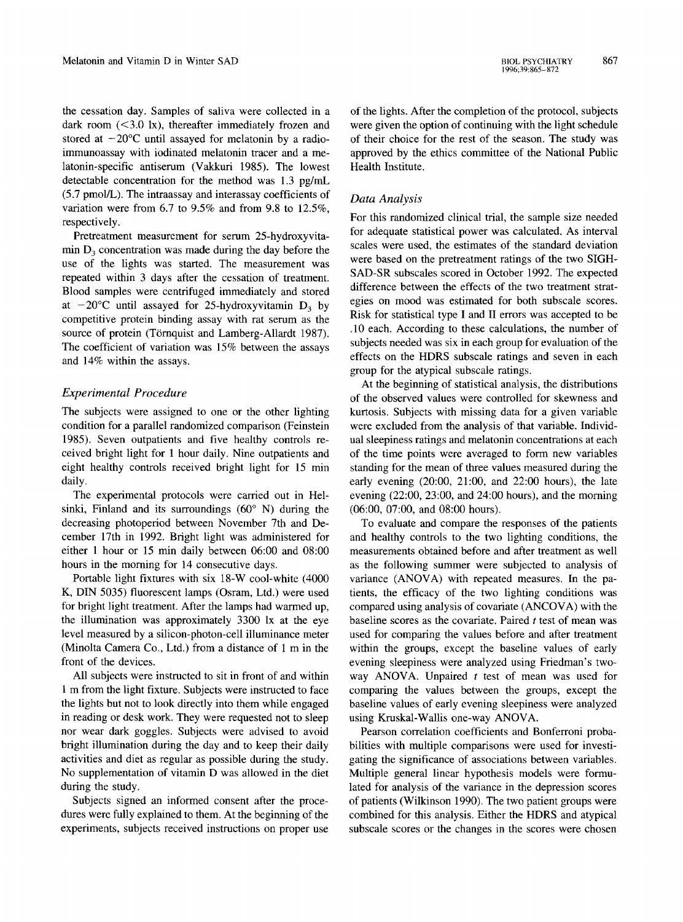the cessation day. Samples of saliva were collected in a dark room (<3.0 lx), thereafter immediately frozen and stored at  $-20^{\circ}$ C until assayed for melatonin by a radioimmunoassay with iodinated melatonin tracer and a melatonin-specific antiserum (Vakkuri 1985). The lowest detectable concentration for the method was 1.3 pg/mL (5.7 pmol/L). The intraassay and interassay coefficients of variation were from 6.7 to 9.5% and from 9.8 to 12.5%, respectively.

Pretreatment measurement for serum 25-hydroxyvitamin  $D_3$  concentration was made during the day before the use of the lights was started. The measurement was repeated within 3 days after the cessation of treatment. Blood samples were centrifuged immediately and stored at  $-20$ °C until assayed for 25-hydroxyvitamin D<sub>3</sub> by competitive protein binding assay with rat serum as the source of protein (Törnquist and Lamberg-Allardt 1987). The coefficient of variation was 15% between the assays and 14% within the assays.

### *Experimental Procedure*

The subjects were assigned to one or the other lighting condition for a parallel randomized comparison (Feinstein 1985). Seven outpatients and five healthy controls received bright light for 1 hour daily. Nine outpatients and eight healthy controls received bright light for 15 min daily.

The experimental protocols were carried out in Helsinki, Finland and its surroundings  $(60^{\circ}$  N) during the decreasing photoperiod between November 7th and December 17th in 1992. Bright light was administered for either 1 hour or 15 min daily between 06:00 and 08:00 hours in the morning for 14 consecutive days.

Portable light fixtures with six 18-W cool-white (4000 K, DIN 5035) fluorescent lamps (Osram, Ltd.) were used for bright light treatment. After the lamps had warmed up, the illumination was approximately 3300 lx at the eye level measured by a silicon-photon-cell illuminance meter (Minolta Camera Co., Ltd.) from a distance of 1 m in the front of the devices.

All subjects were instructed to sit in front of and within 1 m from the light fixture. Subjects were instructed to face the lights but not to look directly into them while engaged in reading or desk work. They were requested not to sleep nor wear dark goggles. Subjects were advised to avoid bright illumination during the day and to keep their daily activities and diet as regular as possible during the study. No supplementation of vitamin D was allowed in the diet during the study.

Subjects signed an informed consent after the procedures were fully explained to them. At the beginning of the experiments, subjects received instructions on proper use of the lights. After the completion of the protocol, subjects were given the option of continuing with the light schedule of their choice for the rest of the season. The study was approved by the ethics committee of the National Public Health Institute.

#### *Data Analysis*

For this randomized clinical trial, the sample size needed for adequate statistical power was calculated. As interval scales were used, the estimates of the standard deviation were based on the pretreatment ratings of the two SIGH-SAD-SR subscales scored in October 1992. The expected difference between the effects of the two treatment strategies on mood was estimated for both subscale scores. Risk for statistical type I and lI errors was accepted to be .10 each. According to these calculations, the number of subjects needed was six in each group for evaluation of the effects on the HDRS subscale ratings and seven in each group for the atypical subscale ratings.

At the beginning of statistical analysis, the distributions of the observed values were controlled for skewness and kurtosis. Subjects with missing data for a given variable were excluded from the analysis of that variable. Individual sleepiness ratings and melatonin concentrations at each of the time points were averaged to form new variables standing for the mean of three values measured during the early evening (20:00, 21:00, and 22:00 hours), the late evening (22:00, 23:00, and 24:00 hours), and the morning (06:00, 07:00, and 08:00 hours).

To evaluate and compare the responses of the patients and healthy controls to the two lighting conditions, the measurements obtained before and after treatment as well as the following summer were subjected to analysis of variance (ANOVA) with repeated measures. In the patients, the efficacy of the two lighting conditions was compared using analysis of covariate (ANCOVA) with the baseline scores as the covariate. Paired  $t$  test of mean was used for comparing the values before and after treatment within the groups, except the baseline values of early evening sleepiness were analyzed using Friedman's twoway ANOVA. Unpaired  $t$  test of mean was used for comparing the values between the groups, except the baseline values of early evening sleepiness were analyzed using Kruskal-Wallis one-way ANOVA.

Pearson correlation coefficients and Bonferroni probabilities with multiple comparisons were used for investigating the significance of associations between variables. Multiple general linear hypothesis models were formulated for analysis of the variance in the depression scores of patients (Wilkinson 1990). The two patient groups were combined for this analysis. Either the HDRS and atypical subscale scores or the changes in the scores were chosen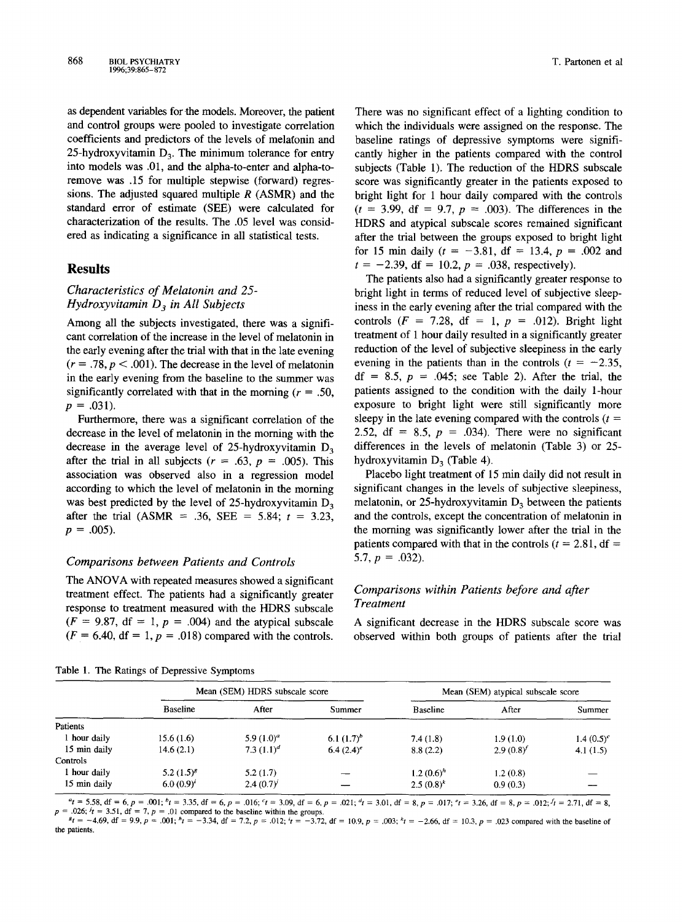as dependent variables for the models. Moreover, the patient and control groups were pooled to investigate correlation coefficients and predictors of the levels of melatonin and 25-hydroxyvitamin  $D_3$ . The minimum tolerance for entry into models was .01, and the alpha-to-enter and alpha-toremove was .15 for multiple stepwise (forward) regressions. The adjusted squared multiple  $R$  (ASMR) and the standard error of estimate (SEE) were calculated for characterization of the results. The .05 level was considered as indicating a significance in all statistical tests.

# **Results**

# *Characteristics of Melatonin and 25- Hydroxyvitamin D 3 in All Subjects*

Among all the subjects investigated, there was a significant correlation of the increase in the level of melatonin in the early evening after the trial with that in the late evening  $(r = .78, p < .001)$ . The decrease in the level of melatonin in the early evening from the baseline to the summer was significantly correlated with that in the morning ( $r = .50$ ,  $p = .031$ ).

Furthermore, there was a significant correlation of the decrease in the level of melatonin in the morning with the decrease in the average level of 25-hydroxyvitamin  $D_3$ after the trial in all subjects ( $r = .63$ ,  $p = .005$ ). This association was observed also in a regression model according to which the level of melatonin in the morning was best predicted by the level of 25-hydroxyvitamin  $D_3$ after the trial (ASMR = .36, SEE = 5.84;  $t = 3.23$ ,  $p = .005$ ).

#### *Comparisons between Patients and Controls*

The ANOVA with repeated measures showed a significant treatment effect. The patients had a significantly greater response to treatment measured with the HDRS subscale  $(F = 9.87, df = 1, p = .004)$  and the atypical subscale  $(F = 6.40, df = 1, p = .018)$  compared with the controls.

There was no significant effect of a lighting condition to which the individuals were assigned on the response. The baseline ratings of depressive symptoms were significantly higher in the patients compared with the control subjects (Table 1). The reduction of the HDRS subscale score was significantly greater in the patients exposed to bright light for 1 hour daily compared with the controls  $(t = 3.99, df = 9.7, p = .003)$ . The differences in the HDRS and atypical subscale scores remained significant after the trial between the groups exposed to bright light for 15 min daily ( $t = -3.81$ , df = 13.4,  $p = .002$  and  $t = -2.39$ , df = 10.2,  $p = .038$ , respectively).

The patients also had a significantly greater response to bright light in terms of reduced level of subjective sleepiness in the early evening after the trial compared with the controls ( $F = 7.28$ , df = 1,  $p = .012$ ). Bright light treatment of 1 hour daily resulted in a significantly greater reduction of the level of subjective sleepiness in the early evening in the patients than in the controls  $(t = -2.35$ ,  $df = 8.5$ ,  $p = .045$ ; see Table 2). After the trial, the patients assigned to the condition with the daily 1-hour exposure to bright light were still significantly more sleepy in the late evening compared with the controls  $(t =$ 2.52, df = 8.5,  $p = .034$ ). There were no significant differences in the levels of melatonin (Table 3) or 25 hydroxyvitamin  $D_3$  (Table 4).

Placebo light treatment of 15 min daily did not result in significant changes in the levels of subjective sleepiness, melatonin, or 25-hydroxyvitamin  $D_3$  between the patients and the controls, except the concentration of melatonin in the morning was significantly lower after the trial in the patients compared with that in the controls ( $t = 2.81$ , df = 5.7,  $p = .032$ ).

## *Comparisons within Patients before and after Treatment*

A significant decrease in the HDRS subscale score was observed within both groups of patients after the trial

Table 1. The Ratings of Depressive Symptoms

|                 |                 | Mean (SEM) HDRS subscale score |               | Mean (SEM) atypical subscale score |          |               |  |
|-----------------|-----------------|--------------------------------|---------------|------------------------------------|----------|---------------|--|
|                 | <b>Baseline</b> | After                          | Summer        | <b>Baseline</b>                    | After    | Summer        |  |
| Patients        |                 |                                |               |                                    |          |               |  |
| 1 hour daily    | 15.6(1.6)       | 5.9 $(1.0)^a$                  | 6.1 $(1.7)^b$ | 7.4(1.8)                           | 1.9(1.0) | 1.4 $(0.5)^c$ |  |
| 15 min daily    | 14.6(2.1)       | 7.3 $(1.1)^d$                  | 6.4 $(2.4)^e$ | 8.8(2.2)                           | 2.9(0.8) | 4.1(1.5)      |  |
| <b>Controls</b> |                 |                                |               |                                    |          |               |  |
| 1 hour daily    | $5.2(1.5)^{g}$  | 5.2(1.7)                       |               | 1.2 $(0.6)^h$                      | 1.2(0.8) |               |  |
| 15 min daily    | $6.0(0.9)^i$    | 2.4(0.7)                       |               | $2.5(0.8)^k$                       | 0.9(0.3) |               |  |

 $a_t = 5.58$ ,  $d\mathbf{f} = 6$ ,  $p = .001$ ;  $b_t = 3.35$ ,  $d\mathbf{f} = 6$ ,  $p = .016$ ;  $c_t = 3.09$ ,  $d\mathbf{f} = 6$ ,  $p = .021$ ;  $d_t = 3.01$ ,  $d\mathbf{f} = 8$ ,  $p = .017$ ;  $c_t = 3.26$ ,  $d\mathbf{f} = 8$ ,  $p = .012$ ;  $f_t = 2.71$ ,  $d\mathbf{f} = 8$ ,  $p = .026$ ;  $t = 3.51$ , df = 7,  $p = .01$  compared to the baseline within the groups.

 $s_t = -4.69$ , df = 9.9, p = .001;  $t = -3.34$ , df = 7.2, p = .012;  $t = -3.72$ , df = 10.9, p = .003;  $t = -2.66$ , df = 10.3, p = .023 compared with the baseline of the patients.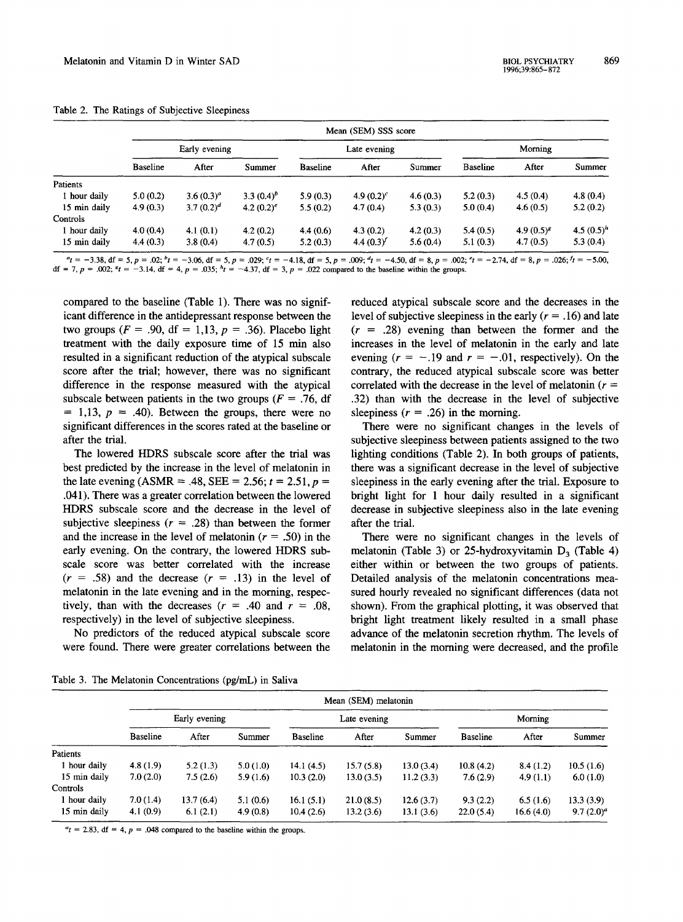|                 | Mean (SEM) SSS score |              |               |                 |               |          |                 |                |               |  |
|-----------------|----------------------|--------------|---------------|-----------------|---------------|----------|-----------------|----------------|---------------|--|
|                 | Early evening        |              |               | Late evening    |               |          | Morning         |                |               |  |
|                 | <b>Baseline</b>      | After        | Summer        | <b>Baseline</b> | After         | Summer   | <b>Baseline</b> | After          | Summer        |  |
| Patients        |                      |              |               |                 |               |          |                 |                |               |  |
| 1 hour daily    | 5.0(0.2)             | $3.6(0.3)^a$ | 3.3 $(0.4)^b$ | 5.9(0.3)        | 4.9 $(0.2)^c$ | 4.6(0.3) | 5.2(0.3)        | 4.5(0.4)       | 4.8(0.4)      |  |
| 15 min daily    | 4.9(0.3)             | $3.7(0.2)^d$ | 4.2 $(0.2)^e$ | 5.5(0.2)        | 4.7(0.4)      | 5.3(0.3) | 5.0(0.4)        | 4.6(0.5)       | 5.2(0.2)      |  |
| <b>Controls</b> |                      |              |               |                 |               |          |                 |                |               |  |
| 1 hour daily    | 4.0(0.4)             | 4.1(0.1)     | 4.2(0.2)      | 4.4(0.6)        | 4.3(0.2)      | 4.2(0.3) | 5.4(0.5)        | $4.9(0.5)^{8}$ | 4.5 $(0.5)^h$ |  |
| 15 min daily    | 4.4(0.3)             | 3.8(0.4)     | 4.7(0.5)      | 5.2(0.3)        | 4.4(0.3)      | 5.6(0.4) | 5.1(0.3)        | 4.7(0.5)       | 5.3(0.4)      |  |

Table 2. The Ratings of Subjective Sleepiness

 $a_t = -3.38$ , df = 5, p = .02;  $b_t = -3.06$ , df = 5, p = .029;  $c_t = -4.18$ , df = 5, p = .009;  $a_t = -4.50$ , df = 8, p = .002;  $c_t = -2.74$ , df = 8, p = .026;  $t_t = -5.00$ , df = 7, p = .002;  $s_t = -3.14$ , df = 4, p = .035;  $t = -4.37$ , df = 3, p = .022 compared to the baseline within the groups.

compared to the baseline (Table 1). There was no significant difference in the antidepressant response between the two groups ( $F = .90$ , df = 1,13,  $p = .36$ ). Placebo light treatment with the dally exposure time of 15 min also resulted in a significant reduction of the atypical subscale score after the trial; however, there was no significant difference in the response measured with the atypical subscale between patients in the two groups ( $F = .76$ , df  $= 1,13, p = .40$ . Between the groups, there were no significant differences in the scores rated at the baseline or after the trial.

The lowered HDRS subscale score after the trial was best predicted by the increase in the level of melatonin in the late evening (ASMR = .48, SEE = 2.56;  $t = 2.51$ ,  $p =$ .041). There was a greater correlation between the lowered HDRS subscale score and the decrease in the level of subjective sleepiness  $(r = .28)$  than between the former and the increase in the level of melatonin ( $r = .50$ ) in the early evening. On the contrary, the lowered HDRS subscale score was better correlated with the increase  $(r = .58)$  and the decrease  $(r = .13)$  in the level of melatonin in the late evening and in the morning, respectively, than with the decreases ( $r = .40$  and  $r = .08$ , respectively) in the level of subjective sleepiness.

No predictors of the reduced atypical subscale score were found. There were greater correlations between the reduced atypical subscale score and the decreases in the level of subjective sleepiness in the early  $(r = .16)$  and late  $(r = .28)$  evening than between the former and the increases in the level of melatonin in the early and late evening  $(r = -.19$  and  $r = -.01$ , respectively). On the contrary, the reduced atypical subscale score was better correlated with the decrease in the level of melatonin  $(r =$ .32) than with the decrease in the level of subjective sleepiness  $(r = .26)$  in the morning.

There were no significant changes in the levels of subjective sleepiness between patients assigned to the two lighting conditions (Table 2). In both groups of patients, there was a significant decrease in the level of subjective sleepiness in the early evening after the trial. Exposure to bright light for 1 hour dally resulted in a significant decrease in subjective sleepiness also in the late evening after the trial.

There were no significant changes in the levels of melatonin (Table 3) or 25-hydroxyvitamin  $D_3$  (Table 4) either within or between the two groups of patients. Detailed analysis of the melatonin concentrations measured hourly revealed no significant differences (data not shown). From the graphical plotting, it was observed that bright light treatment likely resulted in a small phase advance of the melatonin secretion rhythm. The levels of melatonin in the morning were decreased, and the profile

Table 3. The Melatonin Concentrations (pg/mL) in Saliva

|              | Mean (SEM) melatonin |           |          |                 |           |           |                 |           |              |  |
|--------------|----------------------|-----------|----------|-----------------|-----------|-----------|-----------------|-----------|--------------|--|
|              | Early evening        |           |          | Late evening    |           |           | Morning         |           |              |  |
|              | <b>Baseline</b>      | After     | Summer   | <b>Baseline</b> | After     | Summer    | <b>Baseline</b> | After     | Summer       |  |
| Patients     |                      |           |          |                 |           |           |                 |           |              |  |
| 1 hour daily | 4.8(1.9)             | 5.2(1.3)  | 5.0(1.0) | 14.1(4.5)       | 15.7(5.8) | 13.0(3.4) | 10.8(4.2)       | 8.4(1.2)  | 10.5(1.6)    |  |
| 15 min daily | 7.0(2.0)             | 7.5(2.6)  | 5.9(1.6) | 10.3(2.0)       | 13.0(3.5) | 11.2(3.3) | 7.6(2.9)        | 4.9(1.1)  | 6.0(1.0)     |  |
| Controls     |                      |           |          |                 |           |           |                 |           |              |  |
| 1 hour daily | 7.0(1.4)             | 13.7(6.4) | 5.1(0.6) | 16.1(5.1)       | 21.0(8.5) | 12.6(3.7) | 9.3(2.2)        | 6.5(1.6)  | 13.3(3.9)    |  |
| 15 min daily | 4.1(0.9)             | 6.1(2.1)  | 4.9(0.8) | 10.4(2.6)       | 13.2(3.6) | 13.1(3.6) | 22.0(5.4)       | 16.6(4.0) | $9.7(2.0)^a$ |  |

 $a_t = 2.83$ , df = 4, p = .048 compared to the baseline within the groups.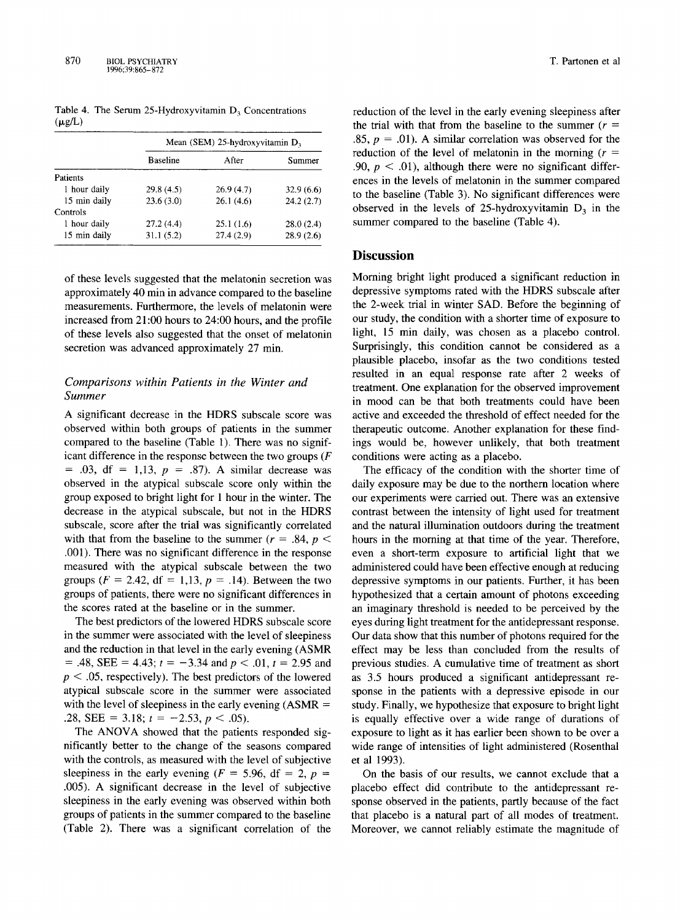|                 | Mean (SEM) 25-hydroxyvitamin $D_3$ |           |            |  |  |  |
|-----------------|------------------------------------|-----------|------------|--|--|--|
|                 | <b>Baseline</b>                    | After     | Summer     |  |  |  |
| <b>Patients</b> |                                    |           |            |  |  |  |
| 1 hour daily    | 29.8(4.5)                          | 26.9(4.7) | 32.9(6.6)  |  |  |  |
| 15 min daily    | 23.6(3.0)                          | 26.1(4.6) | 24.2(2.7)  |  |  |  |
| Controls        |                                    |           |            |  |  |  |
| 1 hour daily    | 27.2(4.4)                          | 25.1(1.6) | 28.0 (2.4) |  |  |  |
| 15 min daily    | 31.1(5.2)                          | 27.4(2.9) | 28.9(2.6)  |  |  |  |

Table 4. The Serum  $25$ -Hydroxyvitamin  $D_3$  Concentrations  $(\mu g/L)$ 

of these levels suggested that the melatonin secretion was approximately 40 min in advance compared to the baseline measurements. Furthermore, the levels of melatonin were increased from 21:00 hours to 24:00 hours, and the profile of these levels also suggested that the onset of melatonin secretion was advanced approximately 27 min.

## *Comparisons within Patients in the Winter and Summer*

A significant decrease in the HDRS subscale score was observed within both groups of patients in the summer compared to the baseline (Table 1). There was no significant difference in the response between the two groups  $(F)$  $= .03$ , df  $= 1,13$ ,  $p = .87$ ). A similar decrease was observed in the atypical subscale score only within the group exposed to bright light for 1 hour in the winter. The decrease in the atypical subscale, but not in the HDRS subscale, score after the trial was significantly correlated with that from the baseline to the summer ( $r = .84$ ,  $p <$ .001). There was no significant difference in the response measured with the atypical subscale between the two groups ( $F = 2.42$ , df = 1,13,  $p = .14$ ). Between the two groups of patients, there were no significant differences in the scores rated at the baseline or in the summer.

The best predictors of the lowered HDRS subscale score in the summer were associated with the level of sleepiness and the reduction in that level in the early evening (ASMR  $= .48$ , SEE = 4.43;  $t = -3.34$  and  $p < .01$ ,  $t = 2.95$  and  $p < .05$ , respectively). The best predictors of the lowered atypical subscale score in the summer were associated with the level of sleepiness in the early evening  $(ASMR =$ .28, SEE = 3.18;  $t = -2.53$ ,  $p < .05$ ).

The ANOVA showed that the patients responded significantly better to the change of the seasons compared with the controls, as measured with the level of subjective sleepiness in the early evening ( $F = 5.96$ , df = 2, p = .005). A significant decrease in the level of subjective sleepiness in the early evening was observed within both groups of patients in the summer compared to the baseline (Table 2). There was a significant correlation of the reduction of the level in the early evening sleepiness after the trial with that from the baseline to the summer ( $r =$ .85,  $p = .01$ ). A similar correlation was observed for the reduction of the level of melatonin in the morning  $(r =$ .90,  $p < .01$ ), although there were no significant differences in the levels of melatonin in the summer compared to the baseline (Table 3). No significant differences were observed in the levels of 25-hydroxyvitamin  $D_3$  in the summer compared to the baseline (Table 4).

#### **Discussion**

Morning bright light produced a significant reduction in depressive symptoms rated with the HDRS subscale after the 2-week trial in winter SAD. Before the beginning of our study, the condition with a shorter time of exposure to light, 15 min daily, was chosen as a placebo control. Surprisingly, this condition cannot be considered as a plausible placebo, insofar as the two conditions tested resulted in an equal response rate after 2 weeks of treatment. One explanation for the observed improvement in mood can be that both treatments could have been active and exceeded the threshold of effect needed for the therapeutic outcome. Another explanation for these findings would be, however unlikely, that both treatment conditions were acting as a placebo.

The efficacy of the condition with the shorter time of daily exposure may be due to the northern location where our experiments were carried out. There was an extensive contrast between the intensity of light used for treatment and the natural illumination outdoors during the treatment hours in the morning at that time of the year. Therefore, even a short-term exposure to artificial light that we administered could have been effective enough at reducing depressive symptoms in our patients. Further, it has been hypothesized that a certain amount of photons exceeding an imaginary threshold is needed to be perceived by the eyes during light treatment for the antidepressant response. Our data show that this number of photons required for the effect may be less than concluded from the results of previous studies. A cumulative time of treatment as short as 3.5 hours produced a significant antidepressant response in the patients with a depressive episode in our study. Finally, we hypothesize that exposure to bright light is equally effective over a wide range of durations of exposure to light as it has earlier been shown to be over a wide range of intensities of light administered (Rosenthal et al 1993).

On the basis of our results, we cannot exclude that a placebo effect did contribute to the antidepressant response observed in the patients, partly because of the fact that placebo is a natural part of all modes of treatment. Moreover, we cannot reliably estimate the magnitude of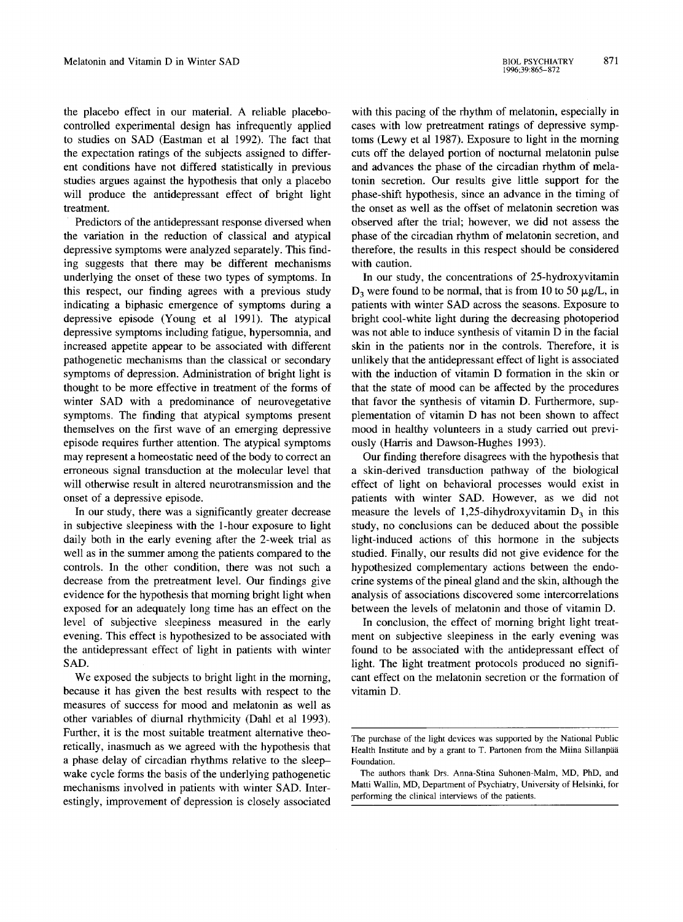the placebo effect in our material. A reliable placebocontrolled experimental design has infrequently applied to studies on SAD (Eastman et al 1992). The fact that the expectation ratings of the subjects assigned to different conditions have not differed statistically in previous studies argues against the hypothesis that only a placebo will produce the antidepressant effect of bright light treatment.

Predictors of the antidepressant response diversed when the variation in the reduction of classical and atypical depressive symptoms were analyzed separately. This finding suggests that there may be different mechanisms underlying the onset of these two types of symptoms. In this respect, our finding agrees with a previous study indicating a biphasic emergence of symptoms during a depressive episode (Young et al 1991). The atypical depressive symptoms including fatigue, hypersomnia, and increased appetite appear to be associated with different pathogenetic mechanisms than the classical or secondary symptoms of depression. Administration of bright light is thought to be more effective in treatment of the forms of winter SAD with a predominance of neurovegetative symptoms. The finding that atypical symptoms present themselves on the first wave of an emerging depressive episode requires further attention. The atypical symptoms may represent a homeostatic need of the body to correct an erroneous signal transduction at the molecular level that will otherwise result in altered neurotransmission and the onset of a depressive episode.

In our study, there was a significantly greater decrease in subjective sleepiness with the 1-hour exposure to light daily both in the early evening after the 2-week trial as well as in the summer among the patients compared to the controls. In the other condition, there was not such a decrease from the pretreatment level. Our findings give evidence for the hypothesis that morning bright light when exposed for an adequately long time has an effect on the level of subjective sleepiness measured in the early evening. This effect is hypothesized to be associated with the antidepressant effect of light in patients with winter SAD.

We exposed the subjects to bright light in the morning, because it has given the best results with respect to the measures of success for mood and melatonin as well as other variables of diurnal rhythmicity (Dahl et al 1993). Further, it is the most suitable treatment alternative theoretically, inasmuch as we agreed with the hypothesis that a phase delay of circadian rhythms relative to the sleepwake cycle forms the basis of the underlying pathogenetic mechanisms involved in patients with winter SAD. Interestingly, improvement of depression is closely associated

with this pacing of the rhythm of melatonin, especially in cases with low pretreatment ratings of depressive symptoms (Lewy et al 1987). Exposure to light in the morning cuts off the delayed portion of nocturnal melatonin pulse and advances the phase of the circadian rhythm of melatonin secretion. Our results give little support for the phase-shift hypothesis, since an advance in the timing of the onset as well as the offset of melatonin secretion was observed after the trial; however, we did not assess the phase of the circadian rhythm of melatonin secretion, and therefore, the results in this respect should be considered with caution.

In our study, the concentrations of 25-hydroxyvitamin  $D_3$  were found to be normal, that is from 10 to 50  $\mu$ g/L, in patients with winter SAD across the seasons. Exposure to bright cool-white light during the decreasing photoperiod was not able to induce synthesis of vitamin D in the facial skin in the patients nor in the controls. Therefore, it is unlikely that the antidepressant effect of light is associated with the induction of vitamin D formation in the skin or that the state of mood can be affected by the procedures that favor the synthesis of vitamin D. Furthermore, supplementation of vitamin D has not been shown to affect mood in healthy volunteers in a study carried out previously (Harris and Dawson-Hughes 1993).

Our finding therefore disagrees with the hypothesis that a skin-derived transduction pathway of the biological effect of light on behavioral processes would exist in patients with winter SAD. However, as we did not measure the levels of 1,25-dihydroxyvitamin  $D_3$  in this study, no conclusions can be deduced about the possible light-induced actions of this hormone in the subjects studied. Finally, our results did not give evidence for the hypothesized complementary actions between the endocrine systems of the pineal gland and the skin, although the analysis of associations discovered some intercorrelations between the levels of melatonin and those of vitamin D.

In conclusion, the effect of morning bright light treatment on subjective sleepiness in the early evening was found to be associated with the antidepressant effect of light. The light treatment protocols produced no significant effect on the melatonin secretion or the formation of vitamin D.

The purchase of the light devices was supported by the National Public Health Institute and by a grant to T. Partonen from the Miina Sillanpää Foundation.

The authors thank Drs. Anna-Stina Suhonen-Malm, MD, PhD, and Matti Wallin, MD, Department of Psychiatry, University of Helsinki, for performing the clinical interviews of the patients.